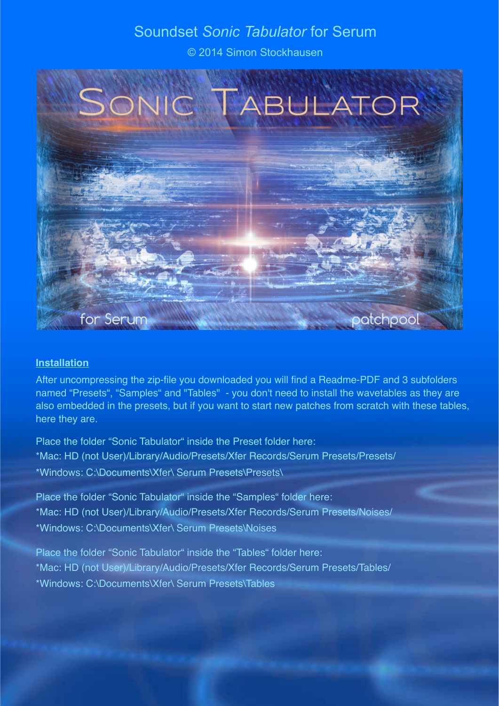# Soundset *Sonic Tabulator* for Serum

© 2014 Simon Stockhausen



### **Installation**

After uncompressing the zip-file you downloaded you will find a Readme-PDF and 3 subfolders named "Presets", "Samples" and "Tables" - you don't need to install the wavetables as they are also embedded in the presets, but if you want to start new patches from scratch with these tables, here they are.

Place the folder "Sonic Tabulator" inside the Preset folder here: \*Mac: HD (not User)/Library/Audio/Presets/Xfer Records/Serum Presets/Presets/ \*Windows: C:\Documents\Xfer\ Serum Presets\Presets\

Place the folder "Sonic Tabulator" inside the "Samples" folder here: \*Mac: HD (not User)/Library/Audio/Presets/Xfer Records/Serum Presets/Noises/ \*Windows: C:\Documents\Xfer\ Serum Presets\Noises

Place the folder "Sonic Tabulator" inside the "Tables" folder here: \*Mac: HD (not User)/Library/Audio/Presets/Xfer Records/Serum Presets/Tables/ \*Windows: C:\Documents\Xfer\ Serum Presets\Tables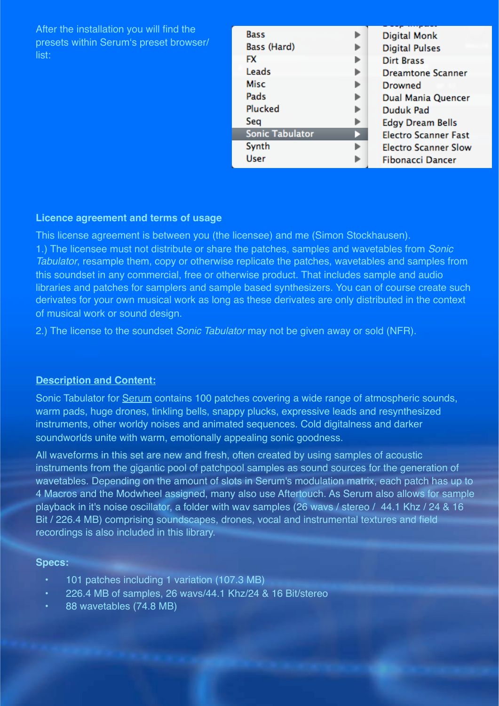| After the installation you will find the<br>presets within Serum's preset browser/<br>list: | <b>Bass</b><br>Bass (Hard)<br><b>FX</b><br>Leads<br>Misc<br>Pads<br>Plucked<br>Sea<br><b>Sonic Tabulator</b><br>Synth<br><b>User</b> | ▶<br>D | Digital Monk<br><b>Digital Pulses</b><br><b>Dirt Brass</b><br><b>Dreamtone Scanner</b><br><b>Drowned</b><br>Dual Mania Quencer<br>Duduk Pad<br><b>Edgy Dream Bells</b><br><b>Electro Scanner Fast</b><br><b>Electro Scanner Slow</b><br><b>Fibonacci Dancer</b> |
|---------------------------------------------------------------------------------------------|--------------------------------------------------------------------------------------------------------------------------------------|--------|-----------------------------------------------------------------------------------------------------------------------------------------------------------------------------------------------------------------------------------------------------------------|
|---------------------------------------------------------------------------------------------|--------------------------------------------------------------------------------------------------------------------------------------|--------|-----------------------------------------------------------------------------------------------------------------------------------------------------------------------------------------------------------------------------------------------------------------|

#### **Licence agreement and terms of usage**

This license agreement is between you (the licensee) and me (Simon Stockhausen). 1.) The licensee must not distribute or share the patches, samples and wavetables from *Sonic Tabulator*, resample them, copy or otherwise replicate the patches, wavetables and samples from this soundset in any commercial, free or otherwise product. That includes sample and audio libraries and patches for samplers and sample based synthesizers. You can of course create such derivates for your own musical work as long as these derivates are only distributed in the context of musical work or sound design.

2.) The license to the soundset *Sonic Tabulator* may not be given away or sold (NFR).

#### **Description and Content:**

Sonic Tabulator for [Serum](http://www.xferrecords.com/products/serum/) contains 100 patches covering a wide range of atmospheric sounds, warm pads, huge drones, tinkling bells, snappy plucks, expressive leads and resynthesized instruments, other worldy noises and animated sequences. Cold digitalness and darker soundworlds unite with warm, emotionally appealing sonic goodness.

All waveforms in this set are new and fresh, often created by using samples of acoustic instruments from the gigantic pool of patchpool samples as sound sources for the generation of wavetables. Depending on the amount of slots in Serum's modulation matrix, each patch has up to 4 Macros and the Modwheel assigned, many also use Aftertouch. As Serum also allows for sample playback in it's noise oscillator, a folder with wav samples (26 wavs / stereo / 44.1 Khz / 24 & 16 Bit / 226.4 MB) comprising soundscapes, drones, vocal and instrumental textures and field recordings is also included in this library.

#### **Specs:**

- 101 patches including 1 variation (107.3 MB)
- 226.4 MB of samples, 26 wavs/44.1 Khz/24 & 16 Bit/stereo
- 88 wavetables (74.8 MB)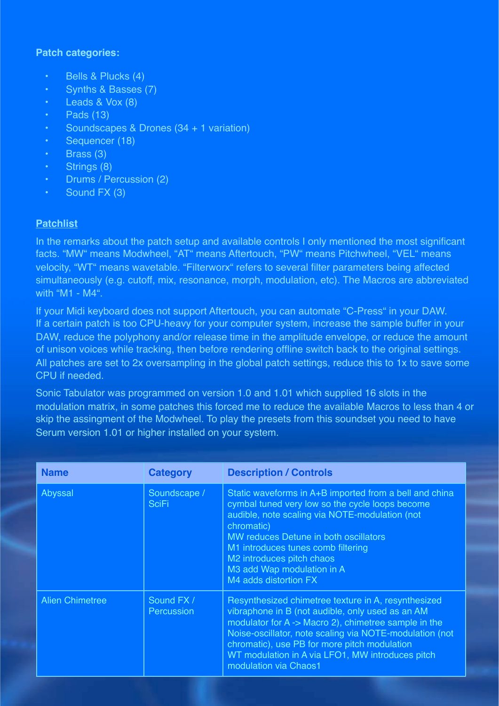### **Patch categories:**

- Bells & Plucks (4)
- Synths & Basses (7)
- Leads & Vox (8)
- $\cdot$  Pads (13)
- Soundscapes & Drones (34 + 1 variation)
- Sequencer (18)
- Brass (3)
- Strings (8)
- Drums / Percussion (2)
- Sound FX (3)

## **Patchlist**

In the remarks about the patch setup and available controls I only mentioned the most significant facts. "MW" means Modwheel, "AT" means Aftertouch, "PW" means Pitchwheel, "VEL" means velocity, "WT" means wavetable. "Filterworx" refers to several filter parameters being affected simultaneously (e.g. cutoff, mix, resonance, morph, modulation, etc). The Macros are abbreviated with "M1 - M4".

If your Midi keyboard does not support Aftertouch, you can automate "C-Press" in your DAW. If a certain patch is too CPU-heavy for your computer system, increase the sample buffer in your DAW, reduce the polyphony and/or release time in the amplitude envelope, or reduce the amount of unison voices while tracking, then before rendering offline switch back to the original settings. All patches are set to 2x oversampling in the global patch settings, reduce this to 1x to save some CPU if needed.

Sonic Tabulator was programmed on version 1.0 and 1.01 which supplied 16 slots in the modulation matrix, in some patches this forced me to reduce the available Macros to less than 4 or skip the assingment of the Modwheel. To play the presets from this soundset you need to have Serum version 1.01 or higher installed on your system.

| <b>Name</b>            | <b>Category</b>              | <b>Description / Controls</b>                                                                                                                                                                                                                                                                                                                           |
|------------------------|------------------------------|---------------------------------------------------------------------------------------------------------------------------------------------------------------------------------------------------------------------------------------------------------------------------------------------------------------------------------------------------------|
| Abyssal                | Soundscape /<br><b>SciFi</b> | Static waveforms in A+B imported from a bell and china<br>cymbal tuned very low so the cycle loops become<br>audible, note scaling via NOTE-modulation (not<br>chromatic)<br>MW reduces Detune in both oscillators<br>M1 introduces tunes comb filtering<br>M2 introduces pitch chaos<br>M3 add Wap modulation in A<br>M4 adds distortion FX            |
| <b>Alien Chimetree</b> | Sound FX /<br>Percussion     | Resynthesized chimetree texture in A, resynthesized<br>vibraphone in B (not audible, only used as an AM<br>modulator for A -> Macro 2), chimetree sample in the<br>Noise-oscillator, note scaling via NOTE-modulation (not<br>chromatic), use PB for more pitch modulation<br>WT modulation in A via LFO1, MW introduces pitch<br>modulation via Chaos1 |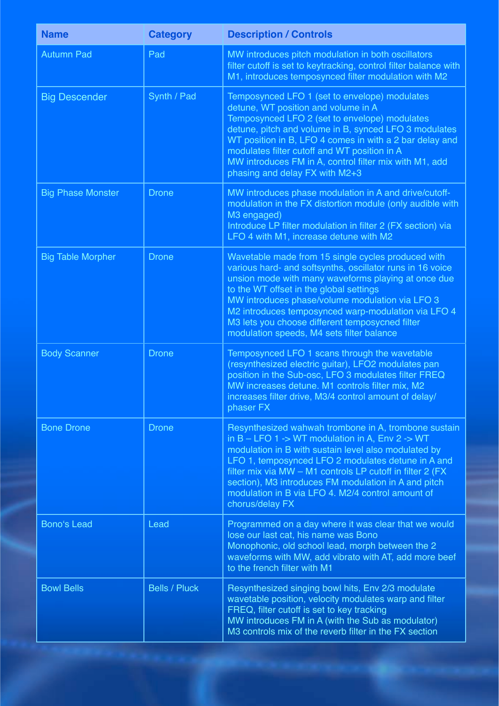| <b>Name</b>              | <b>Category</b>      | <b>Description / Controls</b>                                                                                                                                                                                                                                                                                                                                                                                               |
|--------------------------|----------------------|-----------------------------------------------------------------------------------------------------------------------------------------------------------------------------------------------------------------------------------------------------------------------------------------------------------------------------------------------------------------------------------------------------------------------------|
| <b>Autumn Pad</b>        | Pad                  | MW introduces pitch modulation in both oscillators<br>filter cutoff is set to keytracking, control filter balance with<br>M1, introduces temposynced filter modulation with M2                                                                                                                                                                                                                                              |
| <b>Big Descender</b>     | Synth / Pad          | Temposynced LFO 1 (set to envelope) modulates<br>detune, WT position and volume in A<br>Temposynced LFO 2 (set to envelope) modulates<br>detune, pitch and volume in B, synced LFO 3 modulates<br>WT position in B, LFO 4 comes in with a 2 bar delay and<br>modulates filter cutoff and WT position in A<br>MW introduces FM in A, control filter mix with M1, add<br>phasing and delay FX with M2+3                       |
| <b>Big Phase Monster</b> | <b>Drone</b>         | MW introduces phase modulation in A and drive/cutoff-<br>modulation in the FX distortion module (only audible with<br>M3 engaged)<br>Introduce LP filter modulation in filter 2 (FX section) via<br>LFO 4 with M1, increase detune with M2                                                                                                                                                                                  |
| <b>Big Table Morpher</b> | <b>Drone</b>         | Wavetable made from 15 single cycles produced with<br>various hard- and softsynths, oscillator runs in 16 voice<br>unsion mode with many waveforms playing at once due<br>to the WT offset in the global settings<br>MW introduces phase/volume modulation via LFO 3<br>M2 introduces temposynced warp-modulation via LFO 4<br>M3 lets you choose different temposycned filter<br>modulation speeds, M4 sets filter balance |
| <b>Body Scanner</b>      | <b>Drone</b>         | Temposynced LFO 1 scans through the wavetable<br>(resynthesized electric guitar), LFO2 modulates pan<br>position in the Sub-osc, LFO 3 modulates filter FREQ<br>MW increases detune. M1 controls filter mix, M2<br>increases filter drive, M3/4 control amount of delay/<br>phaser FX                                                                                                                                       |
| <b>Bone Drone</b>        | <b>Drone</b>         | Resynthesized wahwah trombone in A, trombone sustain<br>in $B$ – LFO 1 -> WT modulation in A, Env 2 -> WT<br>modulation in B with sustain level also modulated by<br>LFO 1, temposynced LFO 2 modulates detune in A and<br>filter mix via MW - M1 controls LP cutoff in filter 2 (FX<br>section), M3 introduces FM modulation in A and pitch<br>modulation in B via LFO 4. M2/4 control amount of<br>chorus/delay FX        |
| <b>Bono's Lead</b>       | Lead                 | Programmed on a day where it was clear that we would<br>lose our last cat, his name was Bono<br>Monophonic, old school lead, morph between the 2<br>waveforms with MW, add vibrato with AT, add more beef<br>to the french filter with M1                                                                                                                                                                                   |
| <b>Bowl Bells</b>        | <b>Bells / Pluck</b> | Resynthesized singing bowl hits, Env 2/3 modulate<br>wavetable position, velocity modulates warp and filter<br>FREQ, filter cutoff is set to key tracking<br>MW introduces FM in A (with the Sub as modulator)<br>M3 controls mix of the reverb filter in the FX section                                                                                                                                                    |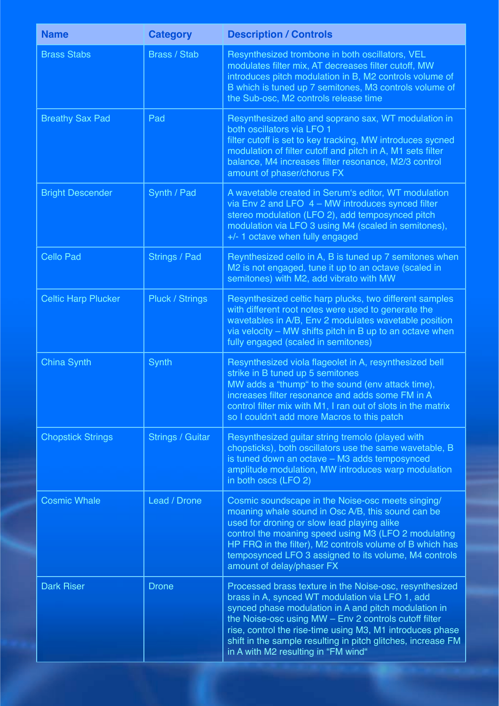| <b>Name</b>                | <b>Category</b>         | <b>Description / Controls</b>                                                                                                                                                                                                                                                                                                                                                                   |
|----------------------------|-------------------------|-------------------------------------------------------------------------------------------------------------------------------------------------------------------------------------------------------------------------------------------------------------------------------------------------------------------------------------------------------------------------------------------------|
| <b>Brass Stabs</b>         | <b>Brass / Stab</b>     | Resynthesized trombone in both oscillators, VEL<br>modulates filter mix, AT decreases filter cutoff, MW<br>introduces pitch modulation in B, M2 controls volume of<br>B which is tuned up 7 semitones, M3 controls volume of<br>the Sub-osc, M2 controls release time                                                                                                                           |
| <b>Breathy Sax Pad</b>     | Pad                     | Resynthesized alto and soprano sax, WT modulation in<br>both oscillators via LFO 1<br>filter cutoff is set to key tracking, MW introduces sycned<br>modulation of filter cutoff and pitch in A, M1 sets filter<br>balance, M4 increases filter resonance, M2/3 control<br>amount of phaser/chorus FX                                                                                            |
| <b>Bright Descender</b>    | Synth / Pad             | A wavetable created in Serum's editor, WT modulation<br>via Env 2 and LFO 4 - MW introduces synced filter<br>stereo modulation (LFO 2), add temposynced pitch<br>modulation via LFO 3 using M4 (scaled in semitones),<br>+/- 1 octave when fully engaged                                                                                                                                        |
| <b>Cello Pad</b>           | Strings / Pad           | Reynthesized cello in A, B is tuned up 7 semitones when<br>M2 is not engaged, tune it up to an octave (scaled in<br>semitones) with M2, add vibrato with MW                                                                                                                                                                                                                                     |
| <b>Celtic Harp Plucker</b> | <b>Pluck / Strings</b>  | Resynthesized celtic harp plucks, two different samples<br>with different root notes were used to generate the<br>wavetables in A/B, Env 2 modulates wavetable position<br>via velocity - MW shifts pitch in B up to an octave when<br>fully engaged (scaled in semitones)                                                                                                                      |
| <b>China Synth</b>         | Synth                   | Resynthesized viola flageolet in A, resynthesized bell<br>strike in B tuned up 5 semitones<br>MW adds a "thump" to the sound (env attack time),<br>increases filter resonance and adds some FM in A<br>control filter mix with M1, I ran out of slots in the matrix<br>so I couldn't add more Macros to this patch                                                                              |
| <b>Chopstick Strings</b>   | <b>Strings / Guitar</b> | Resynthesized guitar string tremolo (played with<br>chopsticks), both oscillators use the same wavetable, B<br>is tuned down an octave - M3 adds temposynced<br>amplitude modulation, MW introduces warp modulation<br>in both oscs (LFO 2)                                                                                                                                                     |
| <b>Cosmic Whale</b>        | Lead / Drone            | Cosmic soundscape in the Noise-osc meets singing/<br>moaning whale sound in Osc A/B, this sound can be<br>used for droning or slow lead playing alike<br>control the moaning speed using M3 (LFO 2 modulating<br>HP FRQ in the filter), M2 controls volume of B which has<br>temposynced LFO 3 assigned to its volume, M4 controls<br>amount of delay/phaser FX                                 |
| <b>Dark Riser</b>          | <b>Drone</b>            | Processed brass texture in the Noise-osc, resynthesized<br>brass in A, synced WT modulation via LFO 1, add<br>synced phase modulation in A and pitch modulation in<br>the Noise-osc using MW - Env 2 controls cutoff filter<br>rise, control the rise-time using M3, M1 introduces phase<br>shift in the sample resulting in pitch glitches, increase FM<br>in A with M2 resulting in "FM wind" |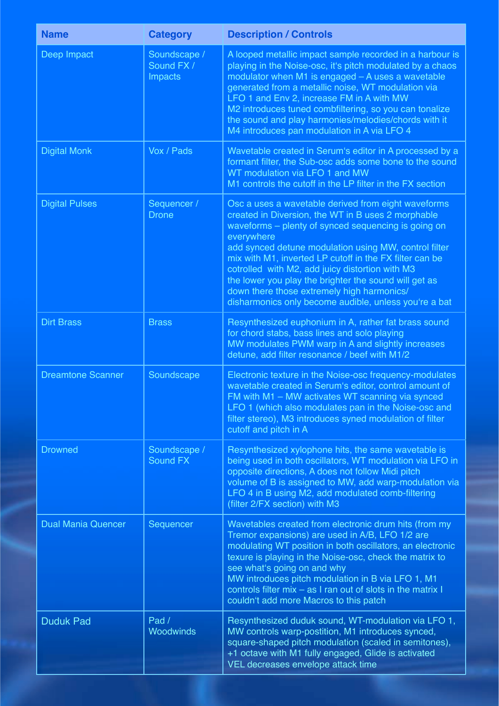| <b>Name</b>               | <b>Category</b>                              | <b>Description / Controls</b>                                                                                                                                                                                                                                                                                                                                                                                                                                                                                         |
|---------------------------|----------------------------------------------|-----------------------------------------------------------------------------------------------------------------------------------------------------------------------------------------------------------------------------------------------------------------------------------------------------------------------------------------------------------------------------------------------------------------------------------------------------------------------------------------------------------------------|
| Deep Impact               | Soundscape /<br>Sound FX /<br><b>Impacts</b> | A looped metallic impact sample recorded in a harbour is<br>playing in the Noise-osc, it's pitch modulated by a chaos<br>modulator when M1 is engaged - A uses a wavetable<br>generated from a metallic noise, WT modulation via<br>LFO 1 and Env 2, increase FM in A with MW<br>M2 introduces tuned combfiltering, so you can tonalize<br>the sound and play harmonies/melodies/chords with it<br>M4 introduces pan modulation in A via LFO 4                                                                        |
| <b>Digital Monk</b>       | Vox / Pads                                   | Wavetable created in Serum's editor in A processed by a<br>formant filter, the Sub-osc adds some bone to the sound<br>WT modulation via LFO 1 and MW<br>M1 controls the cutoff in the LP filter in the FX section                                                                                                                                                                                                                                                                                                     |
| <b>Digital Pulses</b>     | Sequencer /<br><b>Drone</b>                  | Osc a uses a wavetable derived from eight waveforms<br>created in Diversion, the WT in B uses 2 morphable<br>waveforms - plenty of synced sequencing is going on<br>everywhere<br>add synced detune modulation using MW, control filter<br>mix with M1, inverted LP cutoff in the FX filter can be<br>cotrolled with M2, add juicy distortion with M3<br>the lower you play the brighter the sound will get as<br>down there those extremely high harmonics/<br>disharmonics only become audible, unless you're a bat |
| <b>Dirt Brass</b>         | <b>Brass</b>                                 | Resynthesized euphonium in A, rather fat brass sound<br>for chord stabs, bass lines and solo playing<br>MW modulates PWM warp in A and slightly increases<br>detune, add filter resonance / beef with M1/2                                                                                                                                                                                                                                                                                                            |
| <b>Dreamtone Scanner</b>  | Soundscape                                   | Electronic texture in the Noise-osc frequency-modulates<br>wavetable created in Serum's editor, control amount of<br>FM with M1 - MW activates WT scanning via synced<br>LFO 1 (which also modulates pan in the Noise-osc and<br>filter stereo), M3 introduces syned modulation of filter<br>cutoff and pitch in A                                                                                                                                                                                                    |
| <b>Drowned</b>            | Soundscape /<br><b>Sound FX</b>              | Resynthesized xylophone hits, the same wavetable is<br>being used in both oscillators, WT modulation via LFO in<br>opposite directions, A does not follow Midi pitch<br>volume of B is assigned to MW, add warp-modulation via<br>LFO 4 in B using M2, add modulated comb-filtering<br>(filter 2/FX section) with M3                                                                                                                                                                                                  |
| <b>Dual Mania Quencer</b> | Sequencer                                    | Wavetables created from electronic drum hits (from my<br>Tremor expansions) are used in A/B, LFO 1/2 are<br>modulating WT position in both oscillators, an electronic<br>texure is playing in the Noise-osc, check the matrix to<br>see what's going on and why<br>MW introduces pitch modulation in B via LFO 1, M1<br>controls filter mix - as I ran out of slots in the matrix I<br>couldn't add more Macros to this patch                                                                                         |
| <b>Duduk Pad</b>          | Pad /<br><b>Woodwinds</b>                    | Resynthesized duduk sound, WT-modulation via LFO 1,<br>MW controls warp-postition, M1 introduces synced,<br>square-shaped pitch modulation (scaled in semitones),<br>+1 octave with M1 fully engaged, Glide is activated<br>VEL decreases envelope attack time                                                                                                                                                                                                                                                        |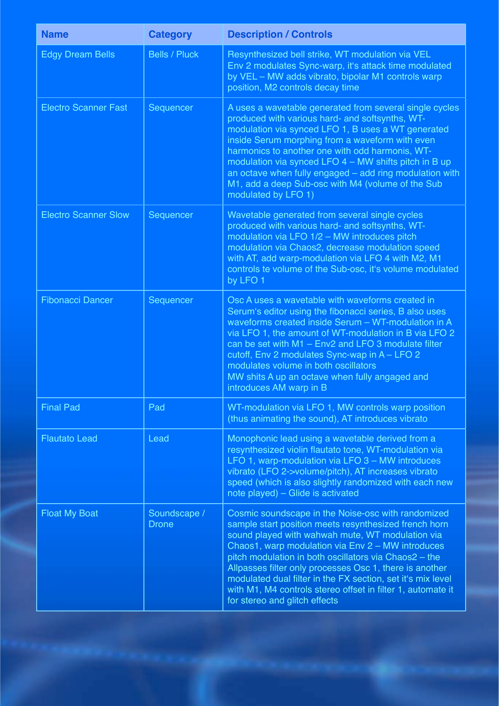| <b>Name</b>                 | <b>Category</b>              | <b>Description / Controls</b>                                                                                                                                                                                                                                                                                                                                                                                                                                                                           |
|-----------------------------|------------------------------|---------------------------------------------------------------------------------------------------------------------------------------------------------------------------------------------------------------------------------------------------------------------------------------------------------------------------------------------------------------------------------------------------------------------------------------------------------------------------------------------------------|
| <b>Edgy Dream Bells</b>     | <b>Bells / Pluck</b>         | Resynthesized bell strike, WT modulation via VEL<br>Env 2 modulates Sync-warp, it's attack time modulated<br>by VEL - MW adds vibrato, bipolar M1 controls warp<br>position, M2 controls decay time                                                                                                                                                                                                                                                                                                     |
| <b>Electro Scanner Fast</b> | Sequencer                    | A uses a wavetable generated from several single cycles<br>produced with various hard- and softsynths, WT-<br>modulation via synced LFO 1, B uses a WT generated<br>inside Serum morphing from a waveform with even<br>harmonics to another one with odd harmonis, WT-<br>modulation via synced LFO $4 - MW$ shifts pitch in B up<br>an octave when fully engaged - add ring modulation with<br>M1, add a deep Sub-osc with M4 (volume of the Sub<br>modulated by LFO 1)                                |
| <b>Electro Scanner Slow</b> | Sequencer                    | Wavetable generated from several single cycles<br>produced with various hard- and softsynths, WT-<br>modulation via LFO 1/2 - MW introduces pitch<br>modulation via Chaos2, decrease modulation speed<br>with AT, add warp-modulation via LFO 4 with M2, M1<br>controls te volume of the Sub-osc, it's volume modulated<br>by LFO 1                                                                                                                                                                     |
| <b>Fibonacci Dancer</b>     | Sequencer                    | Osc A uses a wavetable with waveforms created in<br>Serum's editor using the fibonacci series, B also uses<br>waveforms created inside Serum - WT-modulation in A<br>via LFO 1, the amount of WT-modulation in B via LFO 2<br>can be set with M1 - Env2 and LFO 3 modulate filter<br>cutoff, Env 2 modulates Sync-wap in A - LFO 2<br>modulates volume in both oscillators<br>MW shits A up an octave when fully angaged and<br>introduces AM warp in B                                                 |
| <b>Final Pad</b>            | Pad                          | WT-modulation via LFO 1, MW controls warp position<br>(thus animating the sound), AT introduces vibrato                                                                                                                                                                                                                                                                                                                                                                                                 |
| <b>Flautato Lead</b>        | Lead                         | Monophonic lead using a wavetable derived from a<br>resynthesized violin flautato tone, WT-modulation via<br>LFO 1, warp-modulation via LFO 3 - MW introduces<br>vibrato (LFO 2->volume/pitch), AT increases vibrato<br>speed (which is also slightly randomized with each new<br>note played) - Glide is activated                                                                                                                                                                                     |
| <b>Float My Boat</b>        | Soundscape /<br><b>Drone</b> | Cosmic soundscape in the Noise-osc with randomized<br>sample start position meets resynthesized french horn<br>sound played with wahwah mute, WT modulation via<br>Chaos1, warp modulation via Env 2 - MW introduces<br>pitch modulation in both oscillators via Chaos2 - the<br>Allpasses filter only processes Osc 1, there is another<br>modulated dual filter in the FX section, set it's mix level<br>with M1, M4 controls stereo offset in filter 1, automate it<br>for stereo and glitch effects |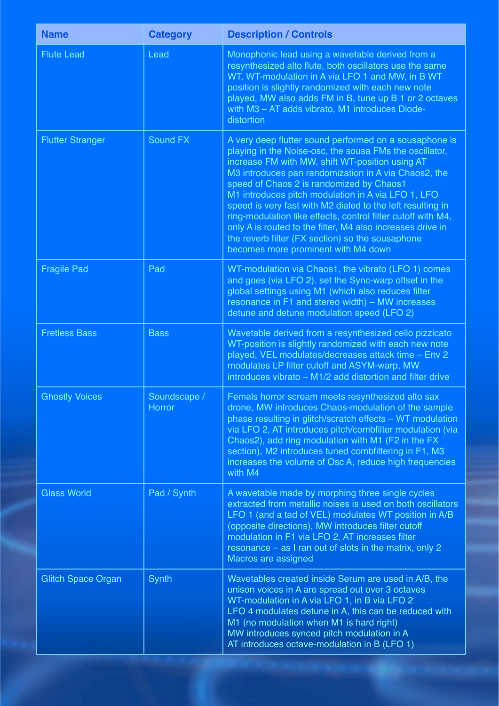| <b>Name</b>               | <b>Category</b>               | <b>Description / Controls</b>                                                                                                                                                                                                                                                                                                                                                                                                                                                                                                                                                                                         |
|---------------------------|-------------------------------|-----------------------------------------------------------------------------------------------------------------------------------------------------------------------------------------------------------------------------------------------------------------------------------------------------------------------------------------------------------------------------------------------------------------------------------------------------------------------------------------------------------------------------------------------------------------------------------------------------------------------|
| <b>Flute Lead</b>         | Lead                          | Monophonic lead using a wavetable derived from a<br>resynthesized alto flute, both oscillators use the same<br>WT, WT-modulation in A via LFO 1 and MW, in B WT<br>position is slightly randomized with each new note<br>played, MW also adds FM in B, tune up B 1 or 2 octaves<br>with M3 - AT adds vibrato, M1 introduces Diode-<br>distortion                                                                                                                                                                                                                                                                      |
| <b>Flutter Stranger</b>   | <b>Sound FX</b>               | A very deep flutter sound performed on a sousaphone is<br>playing in the Noise-osc, the sousa FMs the oscillator,<br>increase FM with MW, shift WT-position using AT<br>M3 introduces pan randomization in A via Chaos2, the<br>speed of Chaos 2 is randomized by Chaos1<br>M1 introduces pitch modulation in A via LFO 1, LFO<br>speed is very fast with M2 dialed to the left resulting in<br>ring-modulation like effects, control filter cutoff with M4,<br>only A is routed to the filter, M4 also increases drive in<br>the reverb filter (FX section) so the sousaphone<br>becomes more prominent with M4 down |
| <b>Fragile Pad</b>        | Pad                           | WT-modulation via Chaos1, the vibrato (LFO 1) comes<br>and goes (via LFO 2). set the Sync-warp offset in the<br>global settings using M1 (which also reduces filter<br>resonance in F1 and stereo width) - MW increases<br>detune and detune modulation speed (LFO 2)                                                                                                                                                                                                                                                                                                                                                 |
| <b>Fretless Bass</b>      | <b>Bass</b>                   | Wavetable derived from a resynthesized cello pizzicato<br>WT-position is slightly randomized with each new note<br>played, VEL modulates/decreases attack time - Env 2<br>modulates LP filter cutoff and ASYM-warp, MW<br>introduces vibrato – M1/2 add distortion and filter drive                                                                                                                                                                                                                                                                                                                                   |
| <b>Ghostly Voices</b>     | Soundscape /<br><b>Horror</b> | Femals horror scream meets resynthesized alto sax<br>drone, MW introduces Chaos-modulation of the sample<br>phase resulting in glitch/scratch effects - WT modulation<br>via LFO 2, AT introduces pitch/combfilter modulation (via<br>Chaos2), add ring modulation with M1 (F2 in the FX<br>section), M2 introduces tuned combfiltering in F1, M3<br>increases the volume of Osc A, reduce high frequencies<br>with M4                                                                                                                                                                                                |
| <b>Glass World</b>        | Pad / Synth                   | A wavetable made by morphing three single cycles<br>extracted from metallic noises is used on both oscillators<br>LFO 1 (and a tad of VEL) modulates WT position in A/B<br>(opposite directions), MW introduces filter cutoff<br>modulation in F1 via LFO 2, AT increases filter<br>resonance – as I ran out of slots in the matrix, only 2<br>Macros are assigned                                                                                                                                                                                                                                                    |
| <b>Glitch Space Organ</b> | Synth                         | Wavetables created inside Serum are used in A/B, the<br>unison voices in A are spread out over 3 octaves<br>WT-modulation in A via LFO 1, in B via LFO 2<br>LFO 4 modulates detune in A, this can be reduced with<br>M1 (no modulation when M1 is hard right)<br>MW introduces synced pitch modulation in A<br>AT introduces octave-modulation in B (LFO 1)                                                                                                                                                                                                                                                           |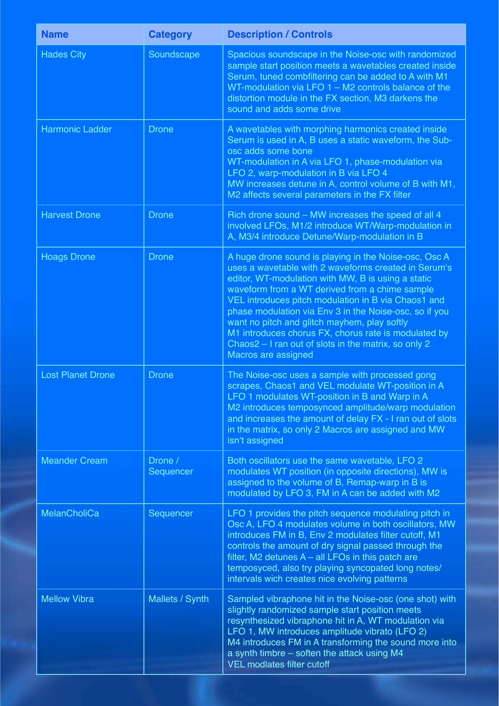| <b>Name</b>              | <b>Category</b>      | <b>Description / Controls</b>                                                                                                                                                                                                                                                                                                                                                                                                                                                                                                 |
|--------------------------|----------------------|-------------------------------------------------------------------------------------------------------------------------------------------------------------------------------------------------------------------------------------------------------------------------------------------------------------------------------------------------------------------------------------------------------------------------------------------------------------------------------------------------------------------------------|
| <b>Hades City</b>        | Soundscape           | Spacious soundscape in the Noise-osc with randomized<br>sample start position meets a wavetables created inside<br>Serum, tuned combfiltering can be added to A with M1<br>WT-modulation via LFO $1 - M2$ controls balance of the<br>distortion module in the FX section, M3 darkens the<br>sound and adds some drive                                                                                                                                                                                                         |
| <b>Harmonic Ladder</b>   | <b>Drone</b>         | A wavetables with morphing harmonics created inside<br>Serum is used in A, B uses a static waveform, the Sub-<br>osc adds some bone<br>WT-modulation in A via LFO 1, phase-modulation via<br>LFO 2, warp-modulation in B via LFO 4<br>MW increases detune in A, control volume of B with M1,<br>M2 affects several parameters in the FX filter                                                                                                                                                                                |
| <b>Harvest Drone</b>     | <b>Drone</b>         | Rich drone sound - MW increases the speed of all 4<br>involved LFOs, M1/2 introduce WT/Warp-modulation in<br>A, M3/4 introduce Detune/Warp-modulation in B                                                                                                                                                                                                                                                                                                                                                                    |
| <b>Hoags Drone</b>       | <b>Drone</b>         | A huge drone sound is playing in the Noise-osc, Osc A<br>uses a wavetable with 2 waveforms created in Serum's<br>editor, WT-modulation with MW, B is using a static<br>waveform from a WT derived from a chime sample<br>VEL introduces pitch modulation in B via Chaos1 and<br>phase modulation via Env 3 in the Noise-osc, so if you<br>want no pitch and glitch mayhem, play softly<br>M1 introduces chorus FX, chorus rate is modulated by<br>Chaos2 – I ran out of slots in the matrix, so only 2<br>Macros are assigned |
| <b>Lost Planet Drone</b> | <b>Drone</b>         | The Noise-osc uses a sample with processed gong<br>scrapes, Chaos1 and VEL modulate WT-position in A<br>LFO 1 modulates WT-position in B and Warp in A<br>M2 introduces temposynced amplitude/warp modulation<br>and increases the amount of delay FX - I ran out of slots<br>in the matrix, so only 2 Macros are assigned and MW<br>isn't assigned                                                                                                                                                                           |
| <b>Meander Cream</b>     | Drone /<br>Sequencer | Both oscillators use the same wavetable, LFO 2<br>modulates WT position (in opposite directions), MW is<br>assigned to the volume of B, Remap-warp in B is<br>modulated by LFO 3, FM in A can be added with M2                                                                                                                                                                                                                                                                                                                |
| <b>MelanCholiCa</b>      | Sequencer            | LFO 1 provides the pitch sequence modulating pitch in<br>Osc A, LFO 4 modulates volume in both oscillators, MW<br>introduces FM in B, Env 2 modulates filter cutoff, M1<br>controls the amount of dry signal passed through the<br>filter, M2 detunes $A - all$ LFOs in this patch are<br>temposyced, also try playing syncopated long notes/<br>intervals wich creates nice evolving patterns                                                                                                                                |
| <b>Mellow Vibra</b>      | Mallets / Synth      | Sampled vibraphone hit in the Noise-osc (one shot) with<br>slightly randomized sample start position meets<br>resynthesized vibraphone hit in A, WT modulation via<br>LFO 1, MW introduces amplitude vibrato (LFO 2)<br>M4 introduces FM in A transforming the sound more into<br>a synth timbre – soften the attack using M4<br><b>VEL modlates filter cutoff</b>                                                                                                                                                            |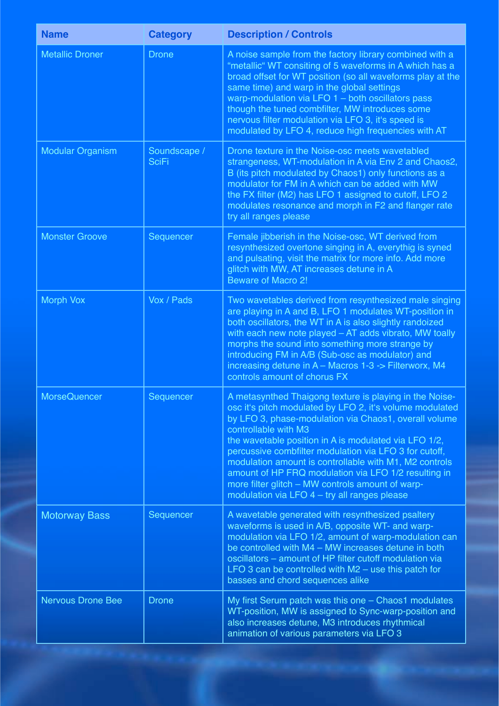| <b>Name</b>              | <b>Category</b>              | <b>Description / Controls</b>                                                                                                                                                                                                                                                                                                                                                                                                                                                                                                                 |
|--------------------------|------------------------------|-----------------------------------------------------------------------------------------------------------------------------------------------------------------------------------------------------------------------------------------------------------------------------------------------------------------------------------------------------------------------------------------------------------------------------------------------------------------------------------------------------------------------------------------------|
| <b>Metallic Droner</b>   | <b>Drone</b>                 | A noise sample from the factory library combined with a<br>"metallic" WT consiting of 5 waveforms in A which has a<br>broad offset for WT position (so all waveforms play at the<br>same time) and warp in the global settings<br>warp-modulation via LFO $1 -$ both oscillators pass<br>though the tuned combfilter, MW introduces some<br>nervous filter modulation via LFO 3, it's speed is<br>modulated by LFO 4, reduce high frequencies with AT                                                                                         |
| <b>Modular Organism</b>  | Soundscape /<br><b>SciFi</b> | Drone texture in the Noise-osc meets wavetabled<br>strangeness, WT-modulation in A via Env 2 and Chaos2,<br>B (its pitch modulated by Chaos1) only functions as a<br>modulator for FM in A which can be added with MW<br>the FX filter (M2) has LFO 1 assigned to cutoff, LFO 2<br>modulates resonance and morph in F2 and flanger rate<br>try all ranges please                                                                                                                                                                              |
| <b>Monster Groove</b>    | Sequencer                    | Female jibberish in the Noise-osc, WT derived from<br>resynthesized overtone singing in A, everythig is syned<br>and pulsating, visit the matrix for more info. Add more<br>glitch with MW, AT increases detune in A<br><b>Beware of Macro 2!</b>                                                                                                                                                                                                                                                                                             |
| <b>Morph Vox</b>         | Vox / Pads                   | Two wavetables derived from resynthesized male singing<br>are playing in A and B, LFO 1 modulates WT-position in<br>both oscillators, the WT in A is also slightly randoized<br>with each new note played - AT adds vibrato, MW toally<br>morphs the sound into something more strange by<br>introducing FM in A/B (Sub-osc as modulator) and<br>increasing detune in A - Macros 1-3 -> Filterworx, M4<br>controls amount of chorus FX                                                                                                        |
| <b>MorseQuencer</b>      | Sequencer                    | A metasynthed Thaigong texture is playing in the Noise-<br>osc it's pitch modulated by LFO 2, it's volume modulated<br>by LFO 3, phase-modulation via Chaos1, overall volume<br>controllable with M3<br>the wavetable position in A is modulated via LFO 1/2,<br>percussive combfilter modulation via LFO 3 for cutoff,<br>modulation amount is controllable with M1, M2 controls<br>amount of HP FRQ modulation via LFO 1/2 resulting in<br>more filter glitch - MW controls amount of warp-<br>modulation via LFO 4 - try all ranges please |
| <b>Motorway Bass</b>     | Sequencer                    | A wavetable generated with resynthesized psaltery<br>waveforms is used in A/B, opposite WT- and warp-<br>modulation via LFO 1/2, amount of warp-modulation can<br>be controlled with M4 - MW increases detune in both<br>oscillators - amount of HP filter cutoff modulation via<br>LFO 3 can be controlled with $M2$ – use this patch for<br>basses and chord sequences alike                                                                                                                                                                |
| <b>Nervous Drone Bee</b> | <b>Drone</b>                 | My first Serum patch was this one - Chaos1 modulates<br>WT-position, MW is assigned to Sync-warp-position and<br>also increases detune, M3 introduces rhythmical<br>animation of various parameters via LFO 3                                                                                                                                                                                                                                                                                                                                 |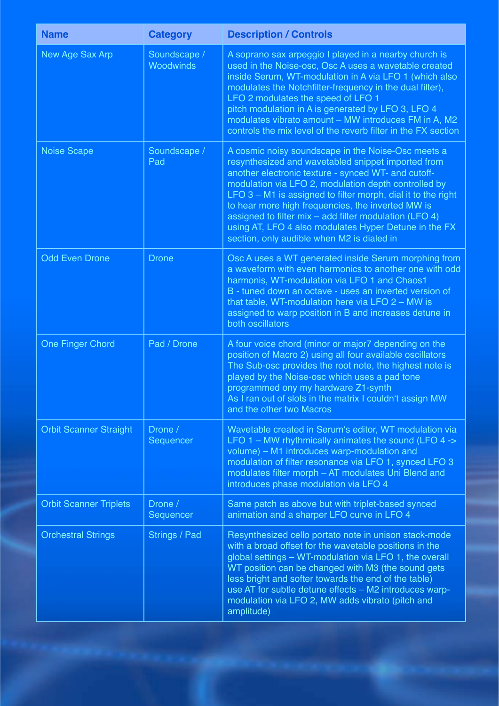| <b>Name</b>                   | <b>Category</b>           | <b>Description / Controls</b>                                                                                                                                                                                                                                                                                                                                                                                                                                                                                     |
|-------------------------------|---------------------------|-------------------------------------------------------------------------------------------------------------------------------------------------------------------------------------------------------------------------------------------------------------------------------------------------------------------------------------------------------------------------------------------------------------------------------------------------------------------------------------------------------------------|
| New Age Sax Arp               | Soundscape /<br>Woodwinds | A soprano sax arpeggio I played in a nearby church is<br>used in the Noise-osc, Osc A uses a wavetable created<br>inside Serum, WT-modulation in A via LFO 1 (which also<br>modulates the Notchfilter-frequency in the dual filter),<br>LFO 2 modulates the speed of LFO 1<br>pitch modulation in A is generated by LFO 3, LFO 4<br>modulates vibrato amount - MW introduces FM in A, M2<br>controls the mix level of the reverb filter in the FX section                                                         |
| <b>Noise Scape</b>            | Soundscape /<br>Pad       | A cosmic noisy soundscape in the Noise-Osc meets a<br>resynthesized and wavetabled snippet imported from<br>another electronic texture - synced WT- and cutoff-<br>modulation via LFO 2, modulation depth controlled by<br>LFO $3 - M1$ is assigned to filter morph, dial it to the right<br>to hear more high frequencies, the inverted MW is<br>assigned to filter $mix - add$ filter modulation (LFO 4)<br>using AT, LFO 4 also modulates Hyper Detune in the FX<br>section, only audible when M2 is dialed in |
| <b>Odd Even Drone</b>         | <b>Drone</b>              | Osc A uses a WT generated inside Serum morphing from<br>a waveform with even harmonics to another one with odd<br>harmonis, WT-modulation via LFO 1 and Chaos1<br>B - tuned down an octave - uses an inverted version of<br>that table, WT-modulation here via LFO $2 - MW$ is<br>assigned to warp position in B and increases detune in<br>both oscillators                                                                                                                                                      |
| <b>One Finger Chord</b>       | Pad / Drone               | A four voice chord (minor or major7 depending on the<br>position of Macro 2) using all four available oscillators<br>The Sub-osc provides the root note, the highest note is<br>played by the Noise-osc which uses a pad tone<br>programmed ony my hardware Z1-synth<br>As I ran out of slots in the matrix I couldn't assign MW<br>and the other two Macros                                                                                                                                                      |
| <b>Orbit Scanner Straight</b> | Drone /<br>Sequencer      | Wavetable created in Serum's editor, WT modulation via<br>LFO $1 - MW$ rhythmically animates the sound (LFO $4 \rightarrow$<br>volume) - M1 introduces warp-modulation and<br>modulation of filter resonance via LFO 1, synced LFO 3<br>modulates filter morph - AT modulates Uni Blend and<br>introduces phase modulation via LFO 4                                                                                                                                                                              |
| <b>Orbit Scanner Triplets</b> | Drone /<br>Sequencer      | Same patch as above but with triplet-based synced<br>animation and a sharper LFO curve in LFO 4                                                                                                                                                                                                                                                                                                                                                                                                                   |
| <b>Orchestral Strings</b>     | Strings / Pad             | Resynthesized cello portato note in unison stack-mode<br>with a broad offset for the wavetable positions in the<br>global settings - WT-modulation via LFO 1, the overall<br>WT position can be changed with M3 (the sound gets<br>less bright and softer towards the end of the table)<br>use AT for subtle detune effects - M2 introduces warp-<br>modulation via LFO 2, MW adds vibrato (pitch and<br>amplitude)                                                                                               |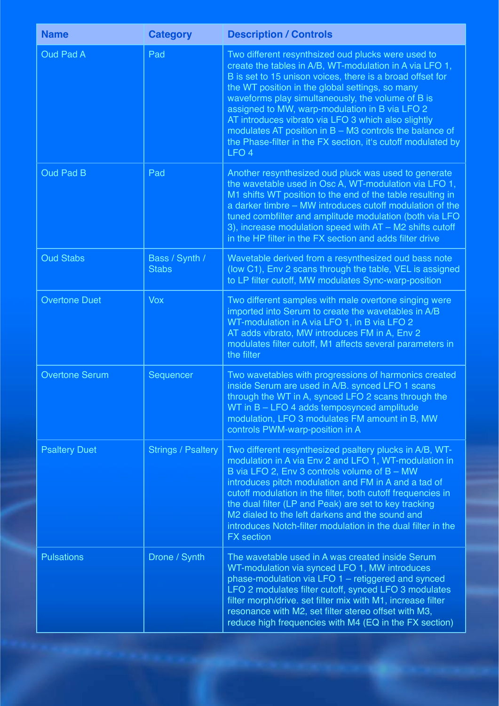| <b>Name</b>           | <b>Category</b>                | <b>Description / Controls</b>                                                                                                                                                                                                                                                                                                                                                                                                                                                                                                                |
|-----------------------|--------------------------------|----------------------------------------------------------------------------------------------------------------------------------------------------------------------------------------------------------------------------------------------------------------------------------------------------------------------------------------------------------------------------------------------------------------------------------------------------------------------------------------------------------------------------------------------|
| <b>Oud Pad A</b>      | Pad                            | Two different resynthsized oud plucks were used to<br>create the tables in A/B, WT-modulation in A via LFO 1,<br>B is set to 15 unison voices, there is a broad offset for<br>the WT position in the global settings, so many<br>waveforms play simultaneously, the volume of B is<br>assigned to MW, warp-modulation in B via LFO 2<br>AT introduces vibrato via LFO 3 which also slightly<br>modulates AT position in $B - M3$ controls the balance of<br>the Phase-filter in the FX section, it's cutoff modulated by<br>LFO <sub>4</sub> |
| <b>Oud Pad B</b>      | Pad                            | Another resynthesized oud pluck was used to generate<br>the wavetable used in Osc A, WT-modulation via LFO 1,<br>M1 shifts WT position to the end of the table resulting in<br>a darker timbre – MW introduces cutoff modulation of the<br>tuned combfilter and amplitude modulation (both via LFO<br>3), increase modulation speed with $AT - M2$ shifts cutoff<br>in the HP filter in the FX section and adds filter drive                                                                                                                 |
| <b>Oud Stabs</b>      | Bass / Synth /<br><b>Stabs</b> | Wavetable derived from a resynthesized oud bass note<br>(low C1), Env 2 scans through the table, VEL is assigned<br>to LP filter cutoff, MW modulates Sync-warp-position                                                                                                                                                                                                                                                                                                                                                                     |
| <b>Overtone Duet</b>  | <b>Vox</b>                     | Two different samples with male overtone singing were<br>imported into Serum to create the wavetables in A/B<br>WT-modulation in A via LFO 1, in B via LFO 2<br>AT adds vibrato, MW introduces FM in A, Env 2<br>modulates filter cutoff, M1 affects several parameters in<br>the filter                                                                                                                                                                                                                                                     |
| <b>Overtone Serum</b> | Sequencer                      | Two wavetables with progressions of harmonics created<br>inside Serum are used in A/B. synced LFO 1 scans<br>through the WT in A, synced LFO 2 scans through the<br>WT in B - LFO 4 adds temposynced amplitude<br>modulation, LFO 3 modulates FM amount in B, MW<br>controls PWM-warp-position in A                                                                                                                                                                                                                                          |
| <b>Psaltery Duet</b>  | <b>Strings / Psaltery</b>      | Two different resynthesized psaltery plucks in A/B, WT-<br>modulation in A via Env 2 and LFO 1, WT-modulation in<br>B via LFO 2, Env 3 controls volume of B - MW<br>introduces pitch modulation and FM in A and a tad of<br>cutoff modulation in the filter, both cutoff frequencies in<br>the dual filter (LP and Peak) are set to key tracking<br>M2 dialed to the left darkens and the sound and<br>introduces Notch-filter modulation in the dual filter in the<br><b>FX</b> section                                                     |
| <b>Pulsations</b>     | Drone / Synth                  | The wavetable used in A was created inside Serum<br>WT-modulation via synced LFO 1, MW introduces<br>phase-modulation via LFO 1 - retiggered and synced<br>LFO 2 modulates filter cutoff, synced LFO 3 modulates<br>filter morph/drive. set filter mix with M1, increase filter<br>resonance with M2, set filter stereo offset with M3,<br>reduce high frequencies with M4 (EQ in the FX section)                                                                                                                                            |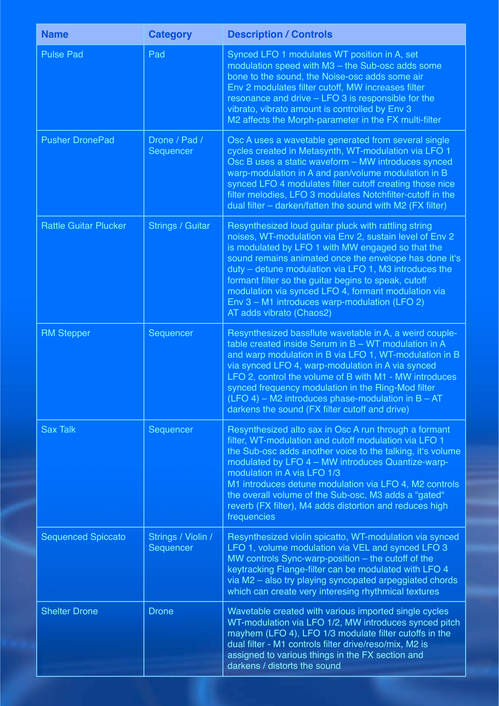| <b>Name</b>                  | <b>Category</b>                 | <b>Description / Controls</b>                                                                                                                                                                                                                                                                                                                                                                                                                                                       |
|------------------------------|---------------------------------|-------------------------------------------------------------------------------------------------------------------------------------------------------------------------------------------------------------------------------------------------------------------------------------------------------------------------------------------------------------------------------------------------------------------------------------------------------------------------------------|
| <b>Pulse Pad</b>             | Pad                             | Synced LFO 1 modulates WT position in A, set<br>modulation speed with M3 - the Sub-osc adds some<br>bone to the sound, the Noise-osc adds some air<br>Env 2 modulates filter cutoff, MW increases filter<br>resonance and drive - LFO 3 is responsible for the<br>vibrato, vibrato amount is controlled by Env 3<br>M2 affects the Morph-parameter in the FX multi-filter                                                                                                           |
| <b>Pusher DronePad</b>       | Drone / Pad /<br>Sequencer      | Osc A uses a wavetable generated from several single<br>cycles created in Metasynth, WT-modulation via LFO 1<br>Osc B uses a static waveform - MW introduces synced<br>warp-modulation in A and pan/volume modulation in B<br>synced LFO 4 modulates filter cutoff creating those nice<br>filter melodies, LFO 3 modulates Notchfilter-cutoff in the<br>dual filter - darken/fatten the sound with M2 (FX filter)                                                                   |
| <b>Rattle Guitar Plucker</b> | <b>Strings / Guitar</b>         | Resynthesized loud guitar pluck with rattling string<br>noises, WT-modulation via Env 2, sustain level of Env 2<br>is modulated by LFO 1 with MW engaged so that the<br>sound remains animated once the envelope has done it's<br>duty – detune modulation via LFO 1, M3 introduces the<br>formant filter so the guitar begins to speak, cutoff<br>modulation via synced LFO 4, formant modulation via<br>Env 3 - M1 introduces warp-modulation (LFO 2)<br>AT adds vibrato (Chaos2) |
| <b>RM Stepper</b>            | Sequencer                       | Resynthesized bassflute wavetable in A, a weird couple-<br>table created inside Serum in B - WT modulation in A<br>and warp modulation in B via LFO 1, WT-modulation in B<br>via synced LFO 4, warp-modulation in A via synced<br>LFO 2, control the volume of B with M1 - MW introduces<br>synced frequency modulation in the Ring-Mod filter<br>$(LFO 4)$ – M2 introduces phase-modulation in B – AT<br>darkens the sound (FX filter cutoff and drive)                            |
| <b>Sax Talk</b>              | Sequencer                       | Resynthesized alto sax in Osc A run through a formant<br>filter, WT-modulation and cutoff modulation via LFO 1<br>the Sub-osc adds another voice to the talking, it's volume<br>modulated by LFO 4 - MW introduces Quantize-warp-<br>modulation in A via LFO 1/3<br>M1 introduces detune modulation via LFO 4, M2 controls<br>the overall volume of the Sub-osc, M3 adds a "gated"<br>reverb (FX filter), M4 adds distortion and reduces high<br>frequencies                        |
| <b>Sequenced Spiccato</b>    | Strings / Violin /<br>Sequencer | Resynthesized violin spicatto, WT-modulation via synced<br>LFO 1, volume modulation via VEL and synced LFO 3<br>MW controls Sync-warp-position - the cutoff of the<br>keytracking Flange-filter can be modulated with LFO 4<br>via M2 - also try playing syncopated arpeggiated chords<br>which can create very interesing rhythmical textures                                                                                                                                      |
| <b>Shelter Drone</b>         | <b>Drone</b>                    | Wavetable created with various imported single cycles<br>WT-modulation via LFO 1/2, MW introduces synced pitch<br>mayhem (LFO 4), LFO 1/3 modulate filter cutoffs in the<br>dual filter - M1 controls filter drive/reso/mix, M2 is<br>assigned to various things in the FX section and<br>darkens / distorts the sound                                                                                                                                                              |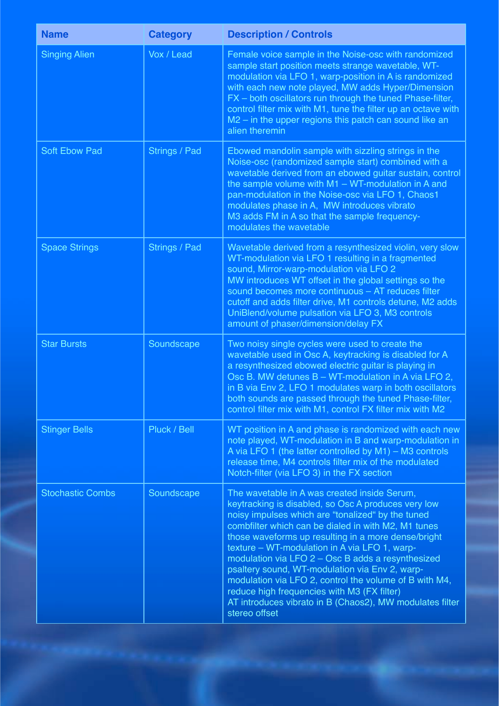| <b>Name</b>             | <b>Category</b> | <b>Description / Controls</b>                                                                                                                                                                                                                                                                                                                                                                                                                                                                                                                                                                                        |
|-------------------------|-----------------|----------------------------------------------------------------------------------------------------------------------------------------------------------------------------------------------------------------------------------------------------------------------------------------------------------------------------------------------------------------------------------------------------------------------------------------------------------------------------------------------------------------------------------------------------------------------------------------------------------------------|
| <b>Singing Alien</b>    | Vox / Lead      | Female voice sample in the Noise-osc with randomized<br>sample start position meets strange wavetable, WT-<br>modulation via LFO 1, warp-position in A is randomized<br>with each new note played, MW adds Hyper/Dimension<br>FX - both oscillators run through the tuned Phase-filter,<br>control filter mix with M1, tune the filter up an octave with<br>M2 - in the upper regions this patch can sound like an<br>alien theremin                                                                                                                                                                                 |
| <b>Soft Ebow Pad</b>    | Strings / Pad   | Ebowed mandolin sample with sizzling strings in the<br>Noise-osc (randomized sample start) combined with a<br>wavetable derived from an ebowed guitar sustain, control<br>the sample volume with $M1 - WT$ -modulation in A and<br>pan-modulation in the Noise-osc via LFO 1, Chaos1<br>modulates phase in A, MW introduces vibrato<br>M3 adds FM in A so that the sample frequency-<br>modulates the wavetable                                                                                                                                                                                                      |
| <b>Space Strings</b>    | Strings / Pad   | Wavetable derived from a resynthesized violin, very slow<br>WT-modulation via LFO 1 resulting in a fragmented<br>sound, Mirror-warp-modulation via LFO 2<br>MW introduces WT offset in the global settings so the<br>sound becomes more continuous - AT reduces filter<br>cutoff and adds filter drive, M1 controls detune, M2 adds<br>UniBlend/volume pulsation via LFO 3, M3 controls<br>amount of phaser/dimension/delay FX                                                                                                                                                                                       |
| <b>Star Bursts</b>      | Soundscape      | Two noisy single cycles were used to create the<br>wavetable used in Osc A, keytracking is disabled for A<br>a resynthesized ebowed electric guitar is playing in<br>Osc B. MW detunes B - WT-modulation in A via LFO 2,<br>in B via Env 2, LFO 1 modulates warp in both oscillators<br>both sounds are passed through the tuned Phase-filter,<br>control filter mix with M1, control FX filter mix with M2                                                                                                                                                                                                          |
| <b>Stinger Bells</b>    | Pluck / Bell    | WT position in A and phase is randomized with each new<br>note played, WT-modulation in B and warp-modulation in<br>A via LFO 1 (the latter controlled by $M1$ ) – M3 controls<br>release time, M4 controls filter mix of the modulated<br>Notch-filter (via LFO 3) in the FX section                                                                                                                                                                                                                                                                                                                                |
| <b>Stochastic Combs</b> | Soundscape      | The wavetable in A was created inside Serum,<br>keytracking is disabled, so Osc A produces very low<br>noisy impulses which are "tonalized" by the tuned<br>combfilter which can be dialed in with M2, M1 tunes<br>those waveforms up resulting in a more dense/bright<br>texture - WT-modulation in A via LFO 1, warp-<br>modulation via LFO 2 - Osc B adds a resynthesized<br>psaltery sound, WT-modulation via Env 2, warp-<br>modulation via LFO 2, control the volume of B with M4,<br>reduce high frequencies with M3 (FX filter)<br>AT introduces vibrato in B (Chaos2), MW modulates filter<br>stereo offset |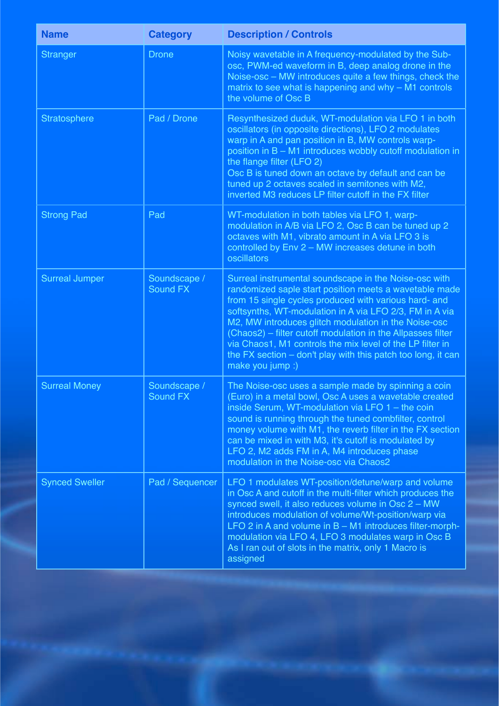| <b>Name</b>           | <b>Category</b>          | <b>Description / Controls</b>                                                                                                                                                                                                                                                                                                                                                                                                                                                                                 |
|-----------------------|--------------------------|---------------------------------------------------------------------------------------------------------------------------------------------------------------------------------------------------------------------------------------------------------------------------------------------------------------------------------------------------------------------------------------------------------------------------------------------------------------------------------------------------------------|
| <b>Stranger</b>       | <b>Drone</b>             | Noisy wavetable in A frequency-modulated by the Sub-<br>osc, PWM-ed waveform in B, deep analog drone in the<br>Noise-osc - MW introduces quite a few things, check the<br>matrix to see what is happening and why $-$ M1 controls<br>the volume of Osc B                                                                                                                                                                                                                                                      |
| Stratosphere          | Pad / Drone              | Resynthesized duduk, WT-modulation via LFO 1 in both<br>oscillators (in opposite directions), LFO 2 modulates<br>warp in A and pan position in B, MW controls warp-<br>position in B - M1 introduces wobbly cutoff modulation in<br>the flange filter (LFO 2)<br>Osc B is tuned down an octave by default and can be<br>tuned up 2 octaves scaled in semitones with M2,<br>inverted M3 reduces LP filter cutoff in the FX filter                                                                              |
| <b>Strong Pad</b>     | Pad                      | WT-modulation in both tables via LFO 1, warp-<br>modulation in A/B via LFO 2, Osc B can be tuned up 2<br>octaves with M1, vibrato amount in A via LFO 3 is<br>controlled by Env 2 - MW increases detune in both<br>oscillators                                                                                                                                                                                                                                                                                |
| <b>Surreal Jumper</b> | Soundscape /<br>Sound FX | Surreal instrumental soundscape in the Noise-osc with<br>randomized saple start position meets a wavetable made<br>from 15 single cycles produced with various hard- and<br>softsynths, WT-modulation in A via LFO 2/3, FM in A via<br>M2, MW introduces glitch modulation in the Noise-osc<br>(Chaos2) - filter cutoff modulation in the Allpasses filter<br>via Chaos1, M1 controls the mix level of the LP filter in<br>the FX section $-$ don't play with this patch too long, it can<br>make you jump :) |
| <b>Surreal Money</b>  | Soundscape /<br>Sound FX | The Noise-osc uses a sample made by spinning a coin<br>(Euro) in a metal bowl, Osc A uses a wavetable created<br>inside Serum, WT-modulation via LFO $1 -$ the coin<br>sound is running through the tuned combfilter, control<br>money volume with M1, the reverb filter in the FX section<br>can be mixed in with M3, it's cutoff is modulated by<br>LFO 2, M2 adds FM in A, M4 introduces phase<br>modulation in the Noise-osc via Chaos2                                                                   |
| <b>Synced Sweller</b> | Pad / Sequencer          | LFO 1 modulates WT-position/detune/warp and volume<br>in Osc A and cutoff in the multi-filter which produces the<br>synced swell, it also reduces volume in Osc 2 - MW<br>introduces modulation of volume/Wt-position/warp via<br>LFO 2 in A and volume in $B - M1$ introduces filter-morph-<br>modulation via LFO 4, LFO 3 modulates warp in Osc B<br>As I ran out of slots in the matrix, only 1 Macro is<br>assigned                                                                                       |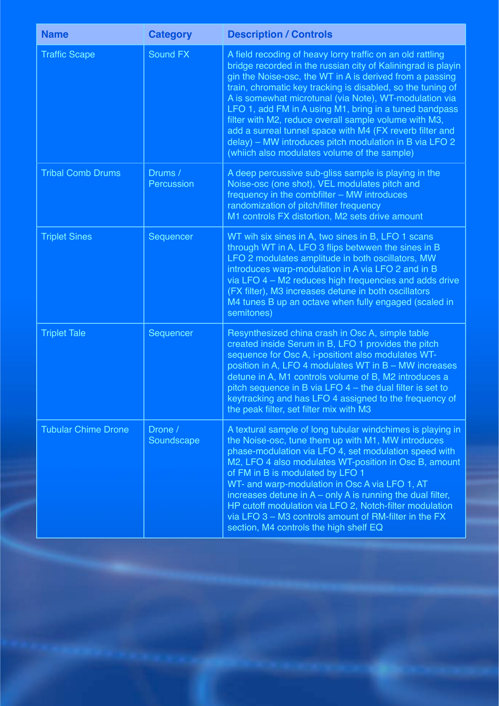| <b>Name</b>                | <b>Category</b>       | <b>Description / Controls</b>                                                                                                                                                                                                                                                                                                                                                                                                                                                                                                                                                                            |
|----------------------------|-----------------------|----------------------------------------------------------------------------------------------------------------------------------------------------------------------------------------------------------------------------------------------------------------------------------------------------------------------------------------------------------------------------------------------------------------------------------------------------------------------------------------------------------------------------------------------------------------------------------------------------------|
| <b>Traffic Scape</b>       | Sound FX              | A field recoding of heavy lorry traffic on an old rattling<br>bridge recorded in the russian city of Kaliningrad is playin<br>gin the Noise-osc, the WT in A is derived from a passing<br>train, chromatic key tracking is disabled, so the tuning of<br>A is somewhat microtunal (via Note), WT-modulation via<br>LFO 1, add FM in A using M1, bring in a tuned bandpass<br>filter with M2, reduce overall sample volume with M3,<br>add a surreal tunnel space with M4 (FX reverb filter and<br>delay) - MW introduces pitch modulation in B via LFO 2<br>(whiich also modulates volume of the sample) |
| <b>Tribal Comb Drums</b>   | Drums /<br>Percussion | A deep percussive sub-gliss sample is playing in the<br>Noise-osc (one shot), VEL modulates pitch and<br>frequency in the combfilter - MW introduces<br>randomization of pitch/filter frequency<br>M1 controls FX distortion, M2 sets drive amount                                                                                                                                                                                                                                                                                                                                                       |
| <b>Triplet Sines</b>       | Sequencer             | WT wih six sines in A, two sines in B, LFO 1 scans<br>through WT in A, LFO 3 flips betwwen the sines in B<br>LFO 2 modulates amplitude in both oscillators, MW<br>introduces warp-modulation in A via LFO 2 and in B<br>via LFO 4 - M2 reduces high frequencies and adds drive<br>(FX filter), M3 increases detune in both oscillators<br>M4 tunes B up an octave when fully engaged (scaled in<br>semitones)                                                                                                                                                                                            |
| <b>Triplet Tale</b>        | Sequencer             | Resynthesized china crash in Osc A, simple table<br>created inside Serum in B, LFO 1 provides the pitch<br>sequence for Osc A, i-positiont also modulates WT-<br>position in A, LFO 4 modulates WT in B - MW increases<br>detune in A, M1 controls volume of B, M2 introduces a<br>pitch sequence in B via LFO $4$ – the dual filter is set to<br>keytracking and has LFO 4 assigned to the frequency of<br>the peak filter, set filter mix with M3                                                                                                                                                      |
| <b>Tubular Chime Drone</b> | Drone /<br>Soundscape | A textural sample of long tubular windchimes is playing in<br>the Noise-osc, tune them up with M1, MW introduces<br>phase-modulation via LFO 4, set modulation speed with<br>M2, LFO 4 also modulates WT-position in Osc B, amount<br>of FM in B is modulated by LFO 1<br>WT- and warp-modulation in Osc A via LFO 1, AT<br>increases detune in $A$ – only A is running the dual filter,<br>HP cutoff modulation via LFO 2, Notch-filter modulation<br>via LFO 3 - M3 controls amount of RM-filter in the FX<br>section, M4 controls the high shelf EQ                                                   |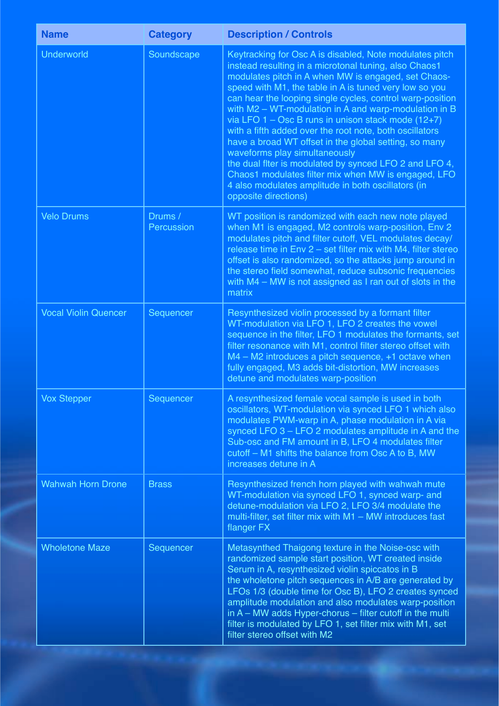| <b>Name</b>                 | <b>Category</b>       | <b>Description / Controls</b>                                                                                                                                                                                                                                                                                                                                                                                                                                                                                                                                                                                                                                                                                                                                               |
|-----------------------------|-----------------------|-----------------------------------------------------------------------------------------------------------------------------------------------------------------------------------------------------------------------------------------------------------------------------------------------------------------------------------------------------------------------------------------------------------------------------------------------------------------------------------------------------------------------------------------------------------------------------------------------------------------------------------------------------------------------------------------------------------------------------------------------------------------------------|
| <b>Underworld</b>           | Soundscape            | Keytracking for Osc A is disabled, Note modulates pitch<br>instead resulting in a microtonal tuning, also Chaos1<br>modulates pitch in A when MW is engaged, set Chaos-<br>speed with M1, the table in A is tuned very low so you<br>can hear the looping single cycles, control warp-position<br>with M2 - WT-modulation in A and warp-modulation in B<br>via LFO $1 - \text{Osc } B$ runs in unison stack mode (12+7)<br>with a fifth added over the root note, both oscillators<br>have a broad WT offset in the global setting, so many<br>waveforms play simultaneously<br>the dual fiter is modulated by synced LFO 2 and LFO 4,<br>Chaos1 modulates filter mix when MW is engaged, LFO<br>4 also modulates amplitude in both oscillators (in<br>opposite directions) |
| <b>Velo Drums</b>           | Drums /<br>Percussion | WT position is randomized with each new note played<br>when M1 is engaged, M2 controls warp-position, Env 2<br>modulates pitch and filter cutoff, VEL modulates decay/<br>release time in Env 2 - set filter mix with M4, filter stereo<br>offset is also randomized, so the attacks jump around in<br>the stereo field somewhat, reduce subsonic frequencies<br>with M4 - MW is not assigned as I ran out of slots in the<br>matrix                                                                                                                                                                                                                                                                                                                                        |
| <b>Vocal Violin Quencer</b> | Sequencer             | Resynthesized violin processed by a formant filter<br>WT-modulation via LFO 1, LFO 2 creates the vowel<br>sequence in the filter, LFO 1 modulates the formants, set<br>filter resonance with M1, control filter stereo offset with<br>M4 - M2 introduces a pitch sequence, +1 octave when<br>fully engaged, M3 adds bit-distortion, MW increases<br>detune and modulates warp-position                                                                                                                                                                                                                                                                                                                                                                                      |
| Vox Stepper                 | Sequencer             | A resynthesized female vocal sample is used in both<br>oscillators, WT-modulation via synced LFO 1 which also<br>modulates PWM-warp in A, phase modulation in A via<br>synced LFO 3 - LFO 2 modulates amplitude in A and the<br>Sub-osc and FM amount in B, LFO 4 modulates filter<br>cutoff - M1 shifts the balance from Osc A to B, MW<br>increases detune in A                                                                                                                                                                                                                                                                                                                                                                                                           |
| <b>Wahwah Horn Drone</b>    | <b>Brass</b>          | Resynthesized french horn played with wahwah mute<br>WT-modulation via synced LFO 1, synced warp- and<br>detune-modulation via LFO 2, LFO 3/4 modulate the<br>multi-filter, set filter mix with M1 - MW introduces fast<br>flanger FX                                                                                                                                                                                                                                                                                                                                                                                                                                                                                                                                       |
| <b>Wholetone Maze</b>       | Sequencer             | Metasynthed Thaigong texture in the Noise-osc with<br>randomized sample start position, WT created inside<br>Serum in A, resynthesized violin spiccatos in B<br>the wholetone pitch sequences in A/B are generated by<br>LFOs 1/3 (double time for Osc B), LFO 2 creates synced<br>amplitude modulation and also modulates warp-position<br>in $A$ – MW adds Hyper-chorus – filter cutoff in the multi<br>filter is modulated by LFO 1, set filter mix with M1, set<br>filter stereo offset with M2                                                                                                                                                                                                                                                                         |